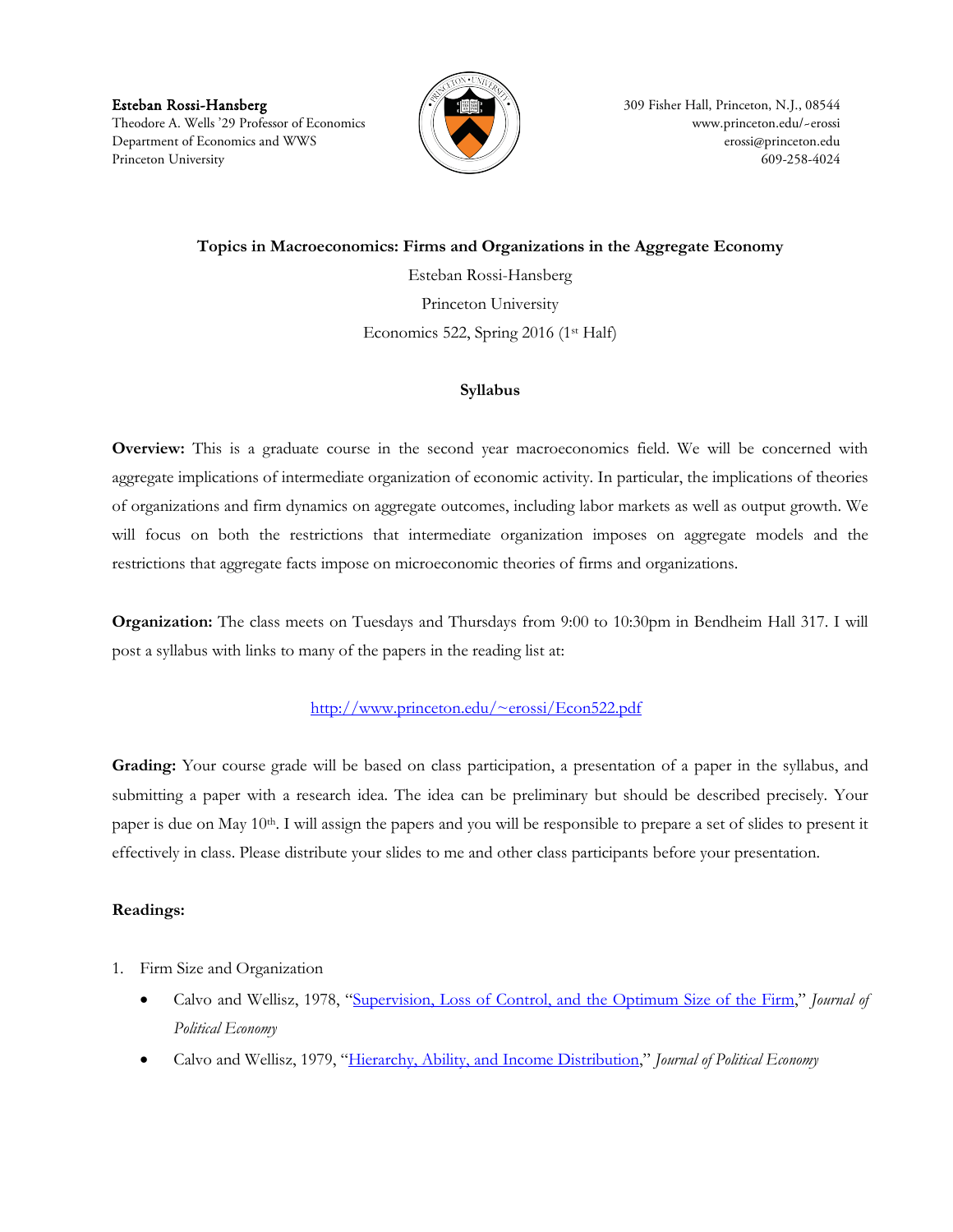Esteban Rossi-Hansberg **309 Fisher Hall, Princeton, N.J., 08544 309 Fisher Hall, Princeton, N.J.**, 08544 Theodore A. Wells '29 Professor of Economics (  $\|\ \|$  ) Department of Economics and WWS [erossi@princeton.edu](mailto:erossi@princeton.edu) Princeton University 609-258-4024



**Topics in Macroeconomics: Firms and Organizations in the Aggregate Economy**

Esteban Rossi-Hansberg Princeton University Economics 522, Spring 2016 (1st Half)

## **Syllabus**

**Overview:** This is a graduate course in the second year macroeconomics field. We will be concerned with aggregate implications of intermediate organization of economic activity. In particular, the implications of theories of organizations and firm dynamics on aggregate outcomes, including labor markets as well as output growth. We will focus on both the restrictions that intermediate organization imposes on aggregate models and the restrictions that aggregate facts impose on microeconomic theories of firms and organizations.

**Organization:** The class meets on Tuesdays and Thursdays from 9:00 to 10:30pm in Bendheim Hall 317. I will post a syllabus with links to many of the papers in the reading list at:

## <http://www.princeton.edu/~erossi/Econ522.pdf>

**Grading:** Your course grade will be based on class participation, a presentation of a paper in the syllabus, and submitting a paper with a research idea. The idea can be preliminary but should be described precisely. Your paper is due on May  $10<sup>th</sup>$ . I will assign the papers and you will be responsible to prepare a set of slides to present it effectively in class. Please distribute your slides to me and other class participants before your presentation.

## **Readings:**

- 1. Firm Size and Organization
	- Calvo and Wellisz, 1978, ["Supervision, Loss of Control, and the Optimum Size of the Firm,"](http://links.jstor.org/sici?sici=0022-3808(197810)86:5%3c943:SLOCAT%3e2.0.CO;2-) *Journal of Political Economy*
	- Calvo and Wellisz, 1979, ["Hierarchy, Ability, and Income Distribution,](http://links.jstor.org/sici?sici=0022-3808(197910)87:5%3c991:HAAID%3e2.0.CO;2-N)" *Journal of Political Economy*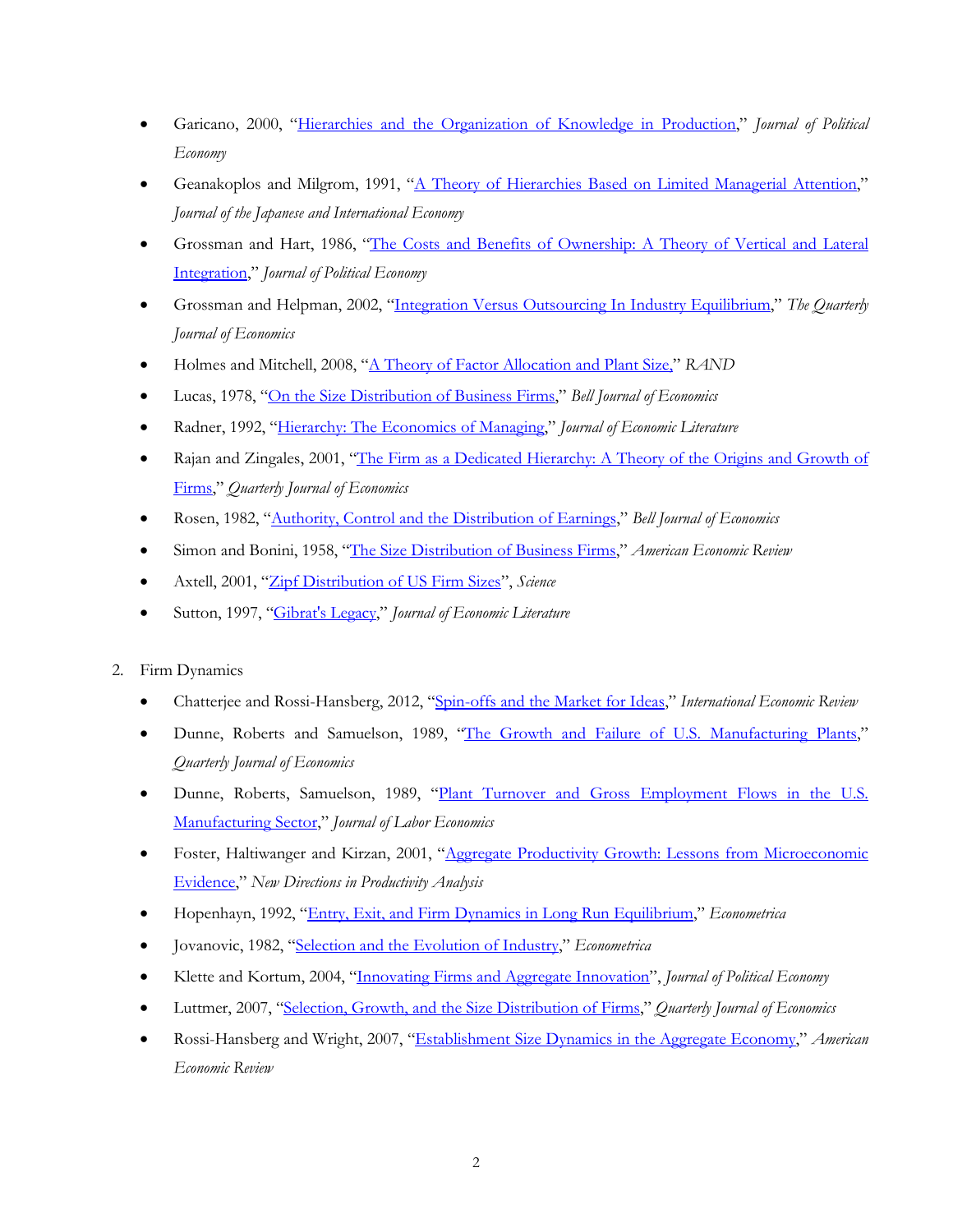- Garicano, 2000, ["Hierarchies and the Organization of Knowledge in Production,](http://links.jstor.org/sici?sici=0022-3808(200010)108:5%3c874:HATOOK%3e2.0.CO;2-H)" *Journal of Political Economy*
- Geanakoplos and Milgrom, 1991, ["A Theory of Hierarchies Based on Limited Managerial Attention,](http://cowles.econ.yale.edu/P/cp/p07b/p0794.pdf)" *Journal of the Japanese and International Economy*
- Grossman and Hart, 1986, ["The Costs and Benefits of Ownership: A Theory of Vertical and Lateral](http://links.jstor.org/sici?sici=0022-3808(198608)94:4%3c691:TCABOO%3e2.0.CO;2-F)  [Integration,](http://links.jstor.org/sici?sici=0022-3808(198608)94:4%3c691:TCABOO%3e2.0.CO;2-F)" *Journal of Political Economy*
- Grossman and Helpman, 2002, ["Integration Versus Outsourcing In Industry Equilibrium,](http://dandini.ingentaselect.com/vl=3496525/cl=23/nw=1/fm=docpdf/rpsv/cw/mitpress/00335533/v117n1/s3/p85)" *The Quarterly Journal of Economics*
- Holmes and Mitchell, 2008, ["A Theory of Factor Allocation and](http://onlinelibrary.wiley.com/doi/10.1111/j.0741-6261.2008.00017.x/pdf) Plant Size," *RAND*
- Lucas, 1978, ["On the Size Distribution of Business Firms,](http://links.jstor.org/sici?sici=0361-915X(197823)9:2%3c508:OTSDOB%3e2.0.CO;2-S)" *Bell Journal of Economics*
- Radner, 1992, ["Hierarchy: The Economics of Managing,](http://links.jstor.org/sici?sici=0022-0515(199209)30:3%3c1382:HTEOM%3e2.0.CO;2-L)" *Journal of Economic Literature*
- Rajan and Zingales, 2001, "The Firm as a Dedicated Hierarchy: A Theory of the Origins and Growth of [Firms,"](http://dandini.ingentaselect.com/vl=3496525/cl=23/nw=1/fm=docpdf/rpsv/cw/mitpress/00335533/v116n3/s2/p805) *Quarterly Journal of Economics*
- Rosen, 1982, ["Authority, Control and the Distribution of Earnings,](http://links.jstor.org/sici?sici=0361-915X(198223)13:2%3c311:ACATDO%3e2.0.CO;2-9)" *Bell Journal of Economics*
- Simon and Bonini, 1958, ["The Size Distribution of Business Firms,](http://www.jstor.org/stable/1808270)" *American Economic Review*
- Axtell, 2001, ["Zipf Distribution of US Firm Sizes"](http://linkage.rockefeller.edu/wli/zipf/axtell01.pdf), *Science*
- Sutton, 1997, ["Gibrat's Legacy,](http://www.jstor.org/view/00220515/dm990867/99p0099i/0)" *Journal of Economic Literature*
- 2. Firm Dynamics
	- Chatterjee and Rossi-Hansberg, 2012, ["Spin-offs and the Market for Ideas,](http://www.princeton.edu/~erossi/SMI.pdf)" *International Economic Review*
	- Dunne, Roberts and Samuelson, 1989, ["The Growth and Failure of U.S. Manufacturing Plants,](http://links.jstor.org/sici?sici=0033-5533(198911)104:4%3c671:TGAFOU%3e2.0.CO;2-P)" *Quarterly Journal of Economics*
	- Dunne, Roberts, Samuelson, 1989, ["Plant Turnover and Gross Employment Flows in the U.S.](http://links.jstor.org/sici?sici=0734-306X(198901)7:1%3c48:PTAGEF%3e2.0.CO;2-Y)  [Manufacturing Sector,](http://links.jstor.org/sici?sici=0734-306X(198901)7:1%3c48:PTAGEF%3e2.0.CO;2-Y)" *Journal of Labor Economics*
	- Foster, Haltiwanger and Kirzan, 2001, "Aggregate Productivity Growth: Lessons from Microeconomic [Evidence,"](http://www.nber.org/papers/w6803.pdf) *New Directions in Productivity Analysis*
	- Hopenhayn, 1992, ["Entry, Exit, and Firm Dynamics in Long Run Equilibrium,](http://links.jstor.org/sici?sici=0012-9682(199209)60:5%3c1127:EEAFDI%3e2.0.CO;2-B)" *Econometrica*
	- Jovanovic, 1982, ["Selection and the Evolution of Industry,](http://links.jstor.org/sici?sici=0012-9682(198205)50:3%3c649:SATEOI%3e2.0.CO;2-O)" *Econometrica*
	- Klette and Kortum, 2004, ["Innovating Firms and Aggregate Innovation"](http://www.journals.uchicago.edu/doi/pdf/10.1086/422563), *Journal of Political Economy*
	- Luttmer, 2007, ["Selection, Growth, and the Size Distribution of Firms,](http://ideas.repec.org/a/tpr/qjecon/v122y2007i3p1103-1144.html)" *Quarterly Journal of Economics*
	- Rossi-Hansberg and Wright, 2007, ["Establishment Size Dynamics in the Aggregate Economy,"](http://www.aeaweb.org/articles.php?doi=10.1257/aer.97.5.1639) *American Economic Review*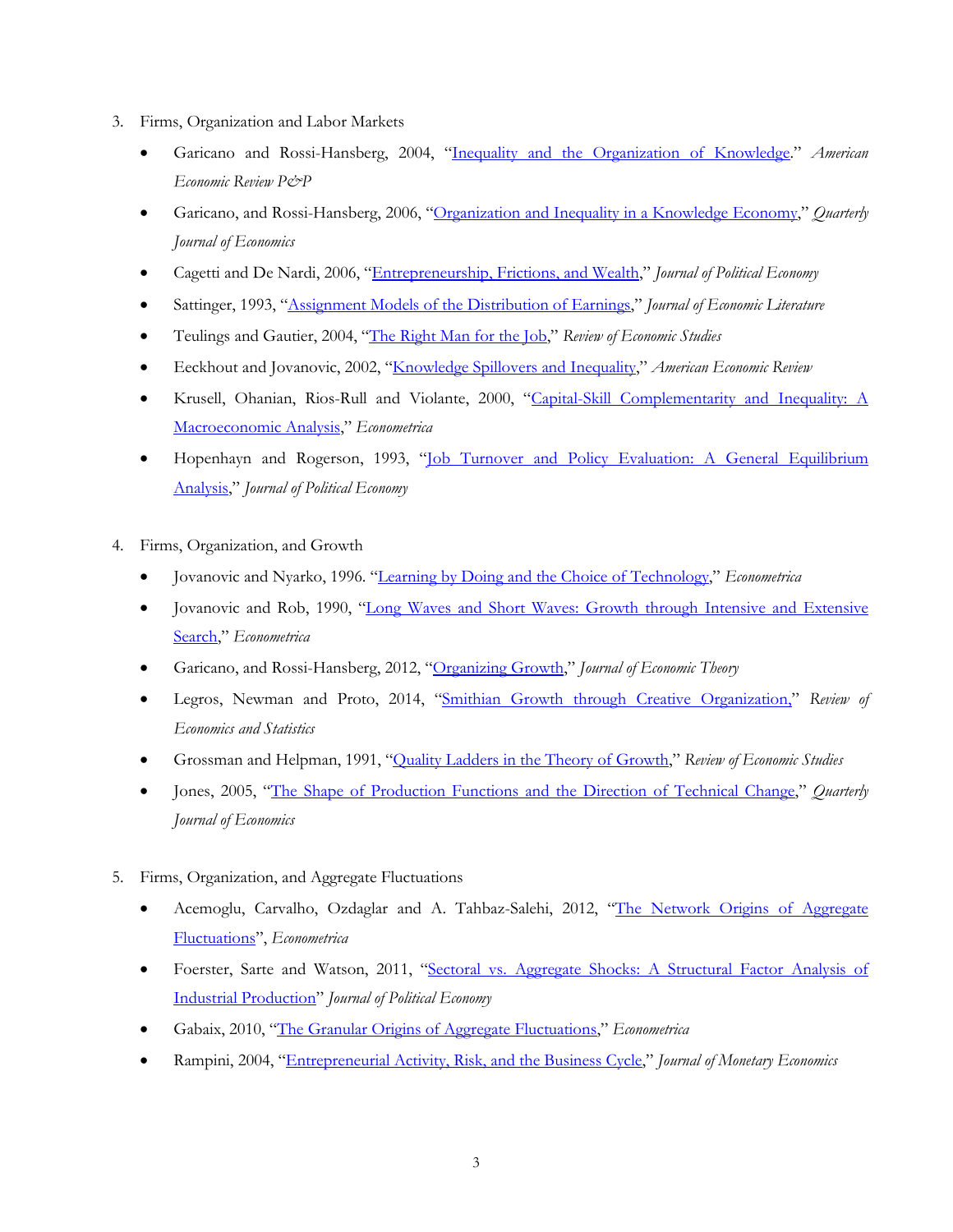- 3. Firms, Organization and Labor Markets
	- Garicano and Rossi-Hansberg, 2004, ["Inequality and the Organization of Knowledge.](http://www.princeton.edu/~erossi/iokAER.pdf)" *American Economic Review P&P*
	- Garicano, and Rossi-Hansberg, 2006, ["Organization and Inequality in a Knowledge Economy,"](http://www.princeton.edu/~erossi/OIKEFinal.pdf) *Quarterly Journal of Economics*
	- Cagetti and De Nardi, 2006, ["Entrepreneurship, Frictions, and Wealth,](http://www.journals.uchicago.edu/doi/pdf/10.1086/508032)" *Journal of Political Economy*
	- Sattinger, 1993, ["Assignment Models of the Distribution of Earnings,"](http://links.jstor.org/sici?sici=0022-0515(199306)31:2%3c831:AMOTDO%3e2.0.CO;2-C) *Journal of Economic Literature*
	- Teulings and Gautier, 2004, ["The Right Man for the Job,"](http://saturn.bids.ac.uk/cgi-bin/ds_deliver/1/u/d/ISIS/12846500.1/bpl/roes/2004/00000071/00000002/art00012/FA90CB15750323FE1094246118F16BC63B8608460E.pdf?link=http://www.ingenta.com/de/ingenta;id=a8auai6lt2dct.crescent&format=pdf) *Review of Economic Studies*
	- Eeckhout and Jovanovic, 2002, ["Knowledge Spillovers and Inequality,](http://www.ssc.upenn.edu/~eeckhout/research/knowledge.pdf)" *American Economic Review*
	- Krusell, Ohanian, Rios-Rull and Violante, 2000, ["Capital-Skill Complementarity and Inequality: A](http://links.jstor.org/sici?sici=0012-9682(200009)68:5%3c1029:CCAIAM%3e2.0.CO;2-B)  [Macroeconomic Analysis,](http://links.jstor.org/sici?sici=0012-9682(200009)68:5%3c1029:CCAIAM%3e2.0.CO;2-B)" *Econometrica*
	- Hopenhayn and Rogerson, 1993, ["Job Turnover and Policy Evaluation: A General Equilibrium](http://links.jstor.org/sici?sici=0022-3808(199310)101:5%3c915:JTAPEA%3e2.0.CO;2-1)  [Analysis,](http://links.jstor.org/sici?sici=0022-3808(199310)101:5%3c915:JTAPEA%3e2.0.CO;2-1)" *Journal of Political Economy*
- 4. Firms, Organization, and Growth
	- Jovanovic and Nyarko, 1996. ["Learning by Doing and the Choice of Technology,](http://www.jstor.org/stable/2171832)" *Econometrica*
	- Jovanovic and Rob, 1990, ["Long Waves and Short Waves: Growth through Intensive and Extensive](http://www.jstor.org/view/00129682/di971020/97p00906/0)  [Search,](http://www.jstor.org/view/00129682/di971020/97p00906/0)" *Econometrica*
	- Garicano, and Rossi-Hansberg, 2012, ["Organizing Growth,"](http://www.princeton.edu/~erossi/OG.pdf) *Journal of Economic Theory*
	- Legros, Newman and Proto, 2014, ["Smithian Growth through Creative Organization,"](http://www.mitpressjournals.org/doi/pdf/10.1162/REST_a_00421) *Review of Economics and Statistics*
	- Grossman and Helpman, 1991, "Quality [Ladders in the Theory of Growth,](http://www.jstor.org/view/00346527/di990696/99p00523/0)" *Review of Economic Studies*
	- Jones, 2005, ["The Shape of Production Functions and the Direction of Technical Change,](http://elsa.berkeley.edu/~chad/JonesQJE2005.pdf)" *Quarterly Journal of Economics*
- 5. Firms, Organization, and Aggregate Fluctuations
	- Acemoglu, Carvalho, Ozdaglar and A. Tahbaz-Salehi, 2012, "The Network Origins of Aggregate [Fluctuations"](http://onlinelibrary.wiley.com/doi/10.3982/ECTA9623/epdf), *Econometrica*
	- Foerster, Sarte and Watson, 2011, ["Sectoral vs. Aggregate Shocks: A Structural Factor Analysis of](http://www.journals.uchicago.edu/doi/pdfplus/10.1086/659311)  [Industrial Production"](http://www.journals.uchicago.edu/doi/pdfplus/10.1086/659311) *Journal of Political Economy*
	- Gabaix, 2010, ["The Granular Origins of Aggregate Fluctuations,](http://onlinelibrary.wiley.com/doi/10.3982/ECTA8769/pdf)" *Econometrica*
	- Rampini, 2004, ["Entrepreneurial Activity, Risk, and the Business Cycle,](http://www.sciencedirect.com/science/article/B6VBW-4BWCCB6-2/2/2b46f085fadccccbf934d320380b49a3)" *Journal of Monetary Economics*